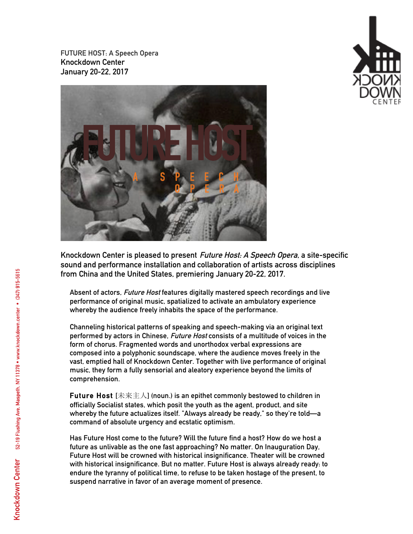**FUTURE HOST: A Speech Opera Knockdown Center January 20-22, 2017**



**Knockdown Center is pleased to present Future Host: A Speech Opera, a site-specific sound and performance installation and collaboration of artists across disciplines from China and the United States, premiering January 20-22, 2017.**

**Absent of actors, Future Host features digitally mastered speech recordings and live performance of original music, spatialized to activate an ambulatory experience whereby the audience freely inhabits the space of the performance.**

**Channeling historical patterns of speaking and speech-making via an original text performed by actors in Chinese, Future Host consists of a multitude of voices in the form of chorus. Fragmented words and unorthodox verbal expressions are composed into a polyphonic soundscape, where the audience moves freely in the vast, emptied hall of Knockdown Center. Together with live performance of original music, they form a fully sensorial and aleatory experience beyond the limits of comprehension.**

**Future Host [**未来主人**] (noun.) is an epithet commonly bestowed to children in officially Socialist states, which posit the youth as the agent, product, and site whereby the future actualizes itself. "Always already be ready," so they're told—a command of absolute urgency and ecstatic optimism.** 

**Has Future Host come to the future? Will the future find a host? How do we host a future as unlivable as the one fast approaching? No matter. On Inauguration Day, Future Host will be crowned with historical insignificance. Theater will be crowned with historical insignificance. But no matter. Future Host is always already ready: to endure the tyranny of political time, to refuse to be taken hostage of the present, to suspend narrative in favor of an average moment of presence.** 

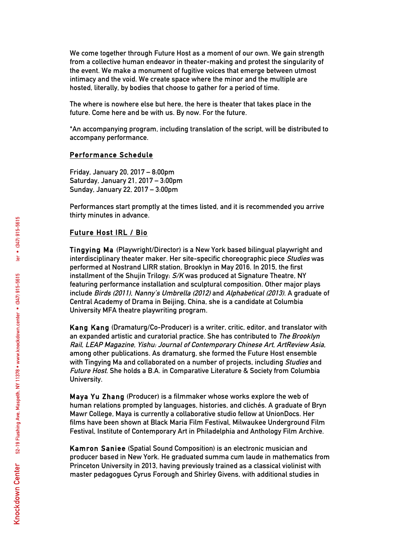**We come together through Future Host as a moment of our own. We gain strength from a collective human endeavor in theater-making and protest the singularity of the event. We make a monument of fugitive voices that emerge between utmost intimacy and the void. We create space where the minor and the multiple are hosted, literally, by bodies that choose to gather for a period of time.**

**The where is nowhere else but here, the here is theater that takes place in the future. Come here and be with us. By now. For the future.**

**\*An accompanying program, including translation of the script, will be distributed to accompany performance.** 

## **Performance Schedule**

**Friday, January 20, 2017 – 8:00pm Saturday, January 21, 2017 – 3:00pm Sunday, January 22, 2017 – 3:00pm**

**Performances start promptly at the times listed, and it is recommended you arrive thirty minutes in advance.**

## **Future Host IRL / Bio**

**Tingying Ma (Playwright/Director) is a New York based bilingual playwright and interdisciplinary theater maker. Her site-specific choreographic piece Studies was performed at Nostrand LIRR station, Brooklyn in May 2016. In 2015, the first installment of the Shujin Trilogy: S/K was produced at Signature Theatre, NY featuring performance installation and sculptural composition. Other major plays include Birds (2011), Nanny's Umbrella (2012) and Alphabetical (2013). A graduate of Central Academy of Drama in Beijing, China, she is a candidate at Columbia University MFA theatre playwriting program.**

**Kang Kang (Dramaturg/Co-Producer) is a writer, critic, editor, and translator with an expanded artistic and curatorial practice. She has contributed to The Brooklyn Rail, LEAP Magazine, Yishu: Journal of Contemporary Chinese Art, ArtReview Asia, among other publications. As dramaturg, she formed the Future Host ensemble with Tingying Ma and collaborated on a number of projects, including Studies and Future Host. She holds a B.A. in Comparative Literature & Society from Columbia University.**

**Maya Yu Zhang (Producer) is a filmmaker whose works explore the web of human relations prompted by languages, histories, and clichés. A graduate of Bryn Mawr College, Maya is currently a collaborative studio fellow at UnionDocs. Her films have been shown at Black Maria Film Festival, Milwaukee Underground Film Festival, Institute of Contemporary Art in Philadelphia and Anthology Film Archive.**

**Kamron Saniee (Spatial Sound Composition) is an electronic musician and producer based in New York. He graduated summa cum laude in mathematics from Princeton University in 2013, having previously trained as a classical violinist with master pedagogues Cyrus Forough and Shirley Givens, with additional studies in**